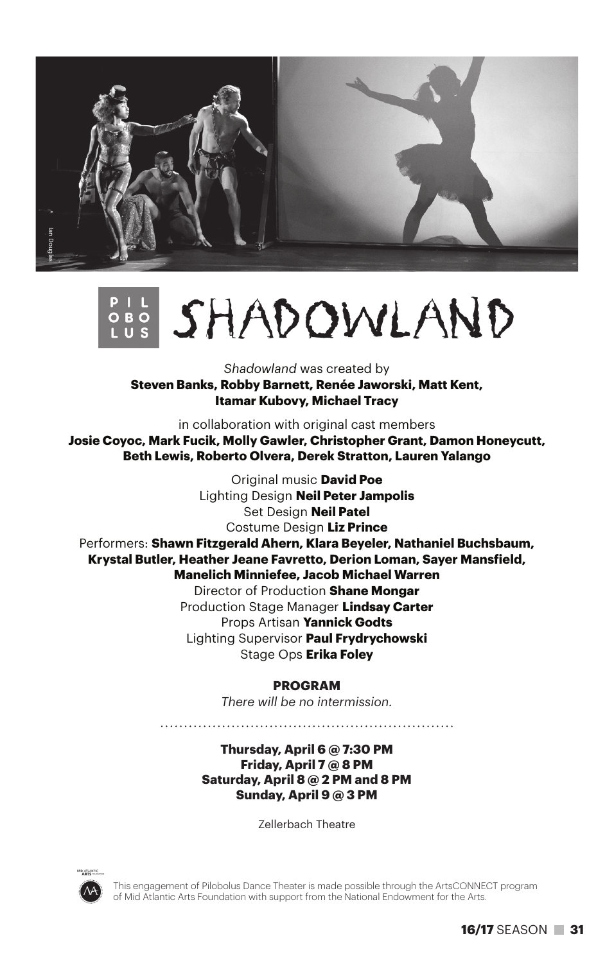

# SHADOWLAND

*Shadowland* was created by

**Steven Banks, Robby Barnett, Renée Jaworski, Matt Kent, Itamar Kubovy, Michael Tracy**

in collaboration with original cast members

**Josie Coyoc, Mark Fucik, Molly Gawler, Christopher Grant, Damon Honeycutt, Beth Lewis, Roberto Olvera, Derek Stratton, Lauren Yalango**

Original music **David Poe** Lighting Design **Neil Peter Jampolis** Set Design **Neil Patel** Costume Design **Liz Prince** Performers: **Shawn Fitzgerald Ahern, Klara Beyeler, Nathaniel Buchsbaum, Krystal Butler, Heather Jeane Favretto, Derion Loman, Sayer Mansfield, Manelich Minniefee, Jacob Michael Warren** Director of Production **Shane Mongar** Production Stage Manager **Lindsay Carter** Props Artisan **Yannick Godts** Lighting Supervisor **Paul Frydrychowski** Stage Ops **Erika Foley**

#### **PROGRAM**

*There will be no intermission.*

**Thursday, April 6 @ 7:30 PM Friday, April 7 @ 8 PM Saturday, April 8 @ 2 PM and 8 PM Sunday, April 9 @ 3 PM**

Zellerbach Theatre



This engagement of Pilobolus Dance Theater is made possible through the ArtsCONNECT program of Mid Atlantic Arts Foundation with support from the National Endowment for the Arts.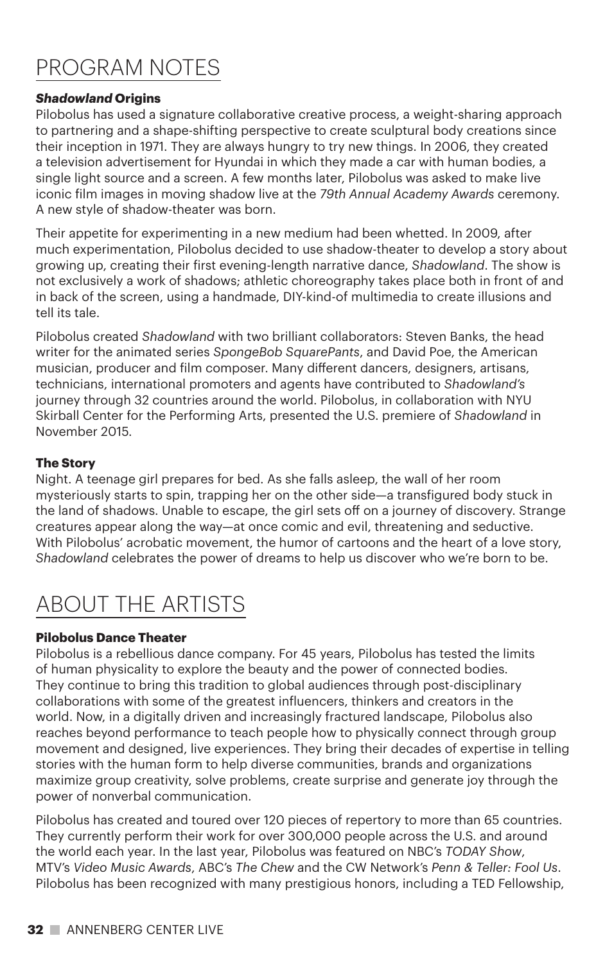# Program notes

# *Shadowland* **Origins**

Pilobolus has used a signature collaborative creative process, a weight-sharing approach to partnering and a shape-shifting perspective to create sculptural body creations since their inception in 1971. They are always hungry to try new things. In 2006, they created a television advertisement for Hyundai in which they made a car with human bodies, a single light source and a screen. A few months later, Pilobolus was asked to make live iconic film images in moving shadow live at the *79th Annual Academy Awards* ceremony. A new style of shadow-theater was born.

Their appetite for experimenting in a new medium had been whetted. In 2009, after much experimentation, Pilobolus decided to use shadow-theater to develop a story about growing up, creating their first evening-length narrative dance, *Shadowland*. The show is not exclusively a work of shadows; athletic choreography takes place both in front of and in back of the screen, using a handmade, DIY-kind-of multimedia to create illusions and tell its tale.

Pilobolus created *Shadowland* with two brilliant collaborators: Steven Banks, the head writer for the animated series *SpongeBob SquarePants*, and David Poe, the American musician, producer and film composer. Many different dancers, designers, artisans, technicians, international promoters and agents have contributed to *Shadowland's* journey through 32 countries around the world. Pilobolus, in collaboration with NYU Skirball Center for the Performing Arts, presented the U.S. premiere of *Shadowland* in November 2015.

## **The Story**

Night. A teenage girl prepares for bed. As she falls asleep, the wall of her room mysteriously starts to spin, trapping her on the other side—a transfigured body stuck in the land of shadows. Unable to escape, the girl sets off on a journey of discovery. Strange creatures appear along the way—at once comic and evil, threatening and seductive. With Pilobolus' acrobatic movement, the humor of cartoons and the heart of a love story, *Shadowland* celebrates the power of dreams to help us discover who we're born to be.

# ABOUT THE Artists

# **Pilobolus Dance Theater**

Pilobolus is a rebellious dance company. For 45 years, Pilobolus has tested the limits of human physicality to explore the beauty and the power of connected bodies. They continue to bring this tradition to global audiences through post-disciplinary collaborations with some of the greatest influencers, thinkers and creators in the world. Now, in a digitally driven and increasingly fractured landscape, Pilobolus also reaches beyond performance to teach people how to physically connect through group movement and designed, live experiences. They bring their decades of expertise in telling stories with the human form to help diverse communities, brands and organizations maximize group creativity, solve problems, create surprise and generate joy through the power of nonverbal communication.

Pilobolus has created and toured over 120 pieces of repertory to more than 65 countries. They currently perform their work for over 300,000 people across the U.S. and around the world each year. In the last year, Pilobolus was featured on NBC's *TODAY Show*, MTV's *Video Music Awards*, ABC's *The Chew* and the CW Network's *Penn & Teller: Fool Us*. Pilobolus has been recognized with many prestigious honors, including a TED Fellowship,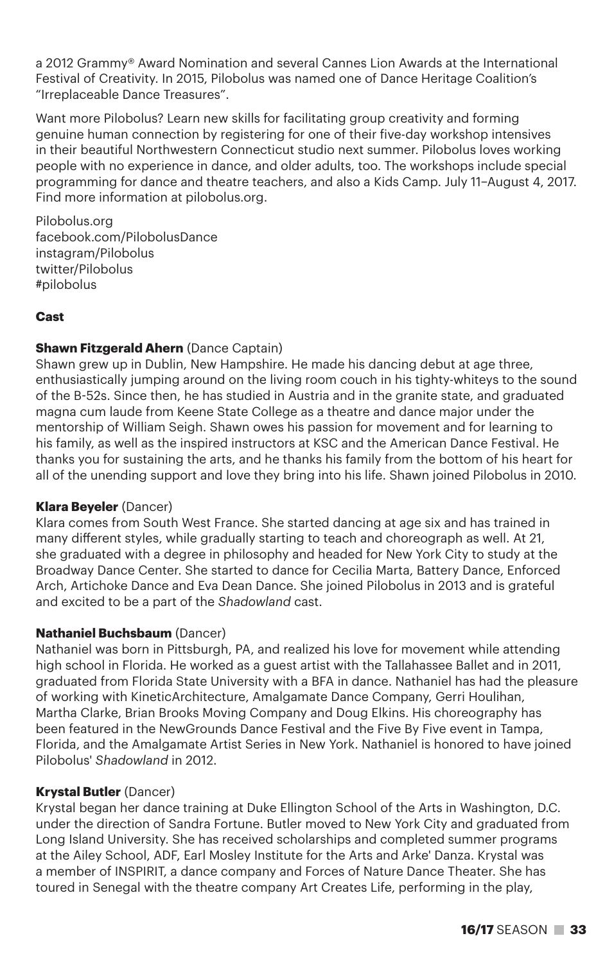a 2012 Grammy® Award Nomination and several Cannes Lion Awards at the International Festival of Creativity. In 2015, Pilobolus was named one of Dance Heritage Coalition's "Irreplaceable Dance Treasures".

Want more Pilobolus? Learn new skills for facilitating group creativity and forming genuine human connection by registering for one of their five-day workshop intensives in their beautiful Northwestern Connecticut studio next summer. Pilobolus loves working people with no experience in dance, and older adults, too. The workshops include special programming for dance and theatre teachers, and also a Kids Camp. July 11–August 4, 2017. Find more information at pilobolus.org.

Pilobolus.org facebook.com/PilobolusDance instagram/Pilobolus twitter/Pilobolus #pilobolus

#### **Cast**

#### **Shawn Fitzgerald Ahern** (Dance Captain)

Shawn grew up in Dublin, New Hampshire. He made his dancing debut at age three, enthusiastically jumping around on the living room couch in his tighty-whiteys to the sound of the B-52s. Since then, he has studied in Austria and in the granite state, and graduated magna cum laude from Keene State College as a theatre and dance major under the mentorship of William Seigh. Shawn owes his passion for movement and for learning to his family, as well as the inspired instructors at KSC and the American Dance Festival. He thanks you for sustaining the arts, and he thanks his family from the bottom of his heart for all of the unending support and love they bring into his life. Shawn joined Pilobolus in 2010.

#### **Klara Beyeler** (Dancer)

Klara comes from South West France. She started dancing at age six and has trained in many different styles, while gradually starting to teach and choreograph as well. At 21, she graduated with a degree in philosophy and headed for New York City to study at the Broadway Dance Center. She started to dance for Cecilia Marta, Battery Dance, Enforced Arch, Artichoke Dance and Eva Dean Dance. She joined Pilobolus in 2013 and is grateful and excited to be a part of the *Shadowland* cast.

#### **Nathaniel Buchsbaum** (Dancer)

Nathaniel was born in Pittsburgh, PA, and realized his love for movement while attending high school in Florida. He worked as a guest artist with the Tallahassee Ballet and in 2011, graduated from Florida State University with a BFA in dance. Nathaniel has had the pleasure of working with KineticArchitecture, Amalgamate Dance Company, Gerri Houlihan, Martha Clarke, Brian Brooks Moving Company and Doug Elkins. His choreography has been featured in the NewGrounds Dance Festival and the Five By Five event in Tampa, Florida, and the Amalgamate Artist Series in New York. Nathaniel is honored to have joined Pilobolus' *Shadowland* in 2012.

#### **Krystal Butler** (Dancer)

Krystal began her dance training at Duke Ellington School of the Arts in Washington, D.C. under the direction of Sandra Fortune. Butler moved to New York City and graduated from Long Island University. She has received scholarships and completed summer programs at the Ailey School, ADF, Earl Mosley Institute for the Arts and Arke' Danza. Krystal was a member of INSPIRIT, a dance company and Forces of Nature Dance Theater. She has toured in Senegal with the theatre company Art Creates Life, performing in the play,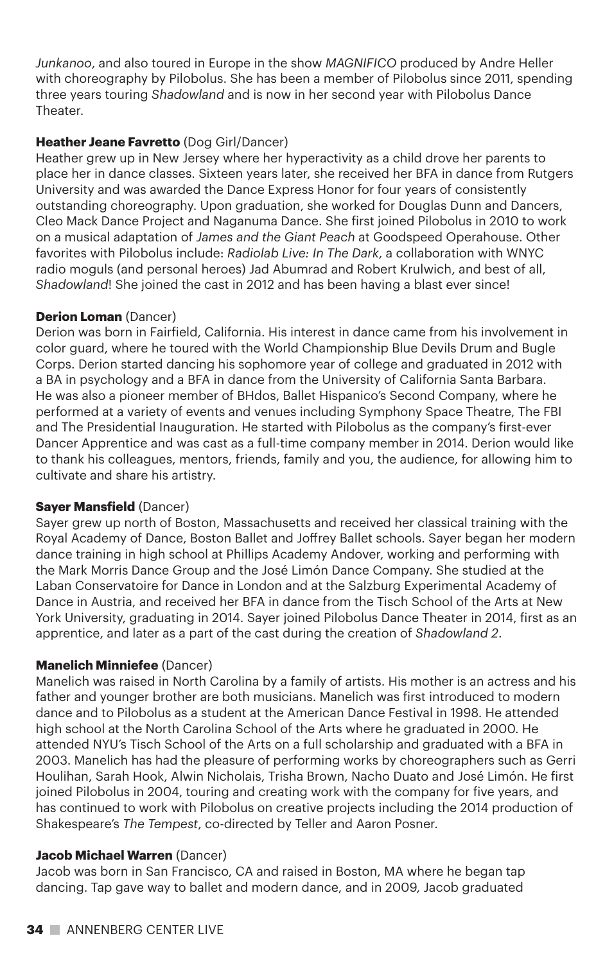*Junkanoo*, and also toured in Europe in the show *MAGNIFICO* produced by Andre Heller with choreography by Pilobolus. She has been a member of Pilobolus since 2011, spending three years touring *Shadowland* and is now in her second year with Pilobolus Dance Theater.

# **Heather Jeane Favretto** (Dog Girl/Dancer)

Heather grew up in New Jersey where her hyperactivity as a child drove her parents to place her in dance classes. Sixteen years later, she received her BFA in dance from Rutgers University and was awarded the Dance Express Honor for four years of consistently outstanding choreography. Upon graduation, she worked for Douglas Dunn and Dancers, Cleo Mack Dance Project and Naganuma Dance. She first joined Pilobolus in 2010 to work on a musical adaptation of *James and the Giant Peach* at Goodspeed Operahouse. Other favorites with Pilobolus include: *Radiolab Live: In The Dark*, a collaboration with WNYC radio moguls (and personal heroes) Jad Abumrad and Robert Krulwich, and best of all, *Shadowland*! She joined the cast in 2012 and has been having a blast ever since!

## **Derion Loman** (Dancer)

Derion was born in Fairfield, California. His interest in dance came from his involvement in color guard, where he toured with the World Championship Blue Devils Drum and Bugle Corps. Derion started dancing his sophomore year of college and graduated in 2012 with a BA in psychology and a BFA in dance from the University of California Santa Barbara. He was also a pioneer member of BHdos, Ballet Hispanico's Second Company, where he performed at a variety of events and venues including Symphony Space Theatre, The FBI and The Presidential Inauguration. He started with Pilobolus as the company's first-ever Dancer Apprentice and was cast as a full-time company member in 2014. Derion would like to thank his colleagues, mentors, friends, family and you, the audience, for allowing him to cultivate and share his artistry.

## **Sayer Mansfield** (Dancer)

Sayer grew up north of Boston, Massachusetts and received her classical training with the Royal Academy of Dance, Boston Ballet and Joffrey Ballet schools. Sayer began her modern dance training in high school at Phillips Academy Andover, working and performing with the Mark Morris Dance Group and the José Limón Dance Company. She studied at the Laban Conservatoire for Dance in London and at the Salzburg Experimental Academy of Dance in Austria, and received her BFA in dance from the Tisch School of the Arts at New York University, graduating in 2014. Sayer joined Pilobolus Dance Theater in 2014, first as an apprentice, and later as a part of the cast during the creation of *Shadowland 2*.

## **Manelich Minniefee** (Dancer)

Manelich was raised in North Carolina by a family of artists. His mother is an actress and his father and younger brother are both musicians. Manelich was first introduced to modern dance and to Pilobolus as a student at the American Dance Festival in 1998. He attended high school at the North Carolina School of the Arts where he graduated in 2000. He attended NYU's Tisch School of the Arts on a full scholarship and graduated with a BFA in 2003. Manelich has had the pleasure of performing works by choreographers such as Gerri Houlihan, Sarah Hook, Alwin Nicholais, Trisha Brown, Nacho Duato and José Limón. He first joined Pilobolus in 2004, touring and creating work with the company for five years, and has continued to work with Pilobolus on creative projects including the 2014 production of Shakespeare's *The Tempest*, co-directed by Teller and Aaron Posner.

## **Jacob Michael Warren** (Dancer)

Jacob was born in San Francisco, CA and raised in Boston, MA where he began tap dancing. Tap gave way to ballet and modern dance, and in 2009, Jacob graduated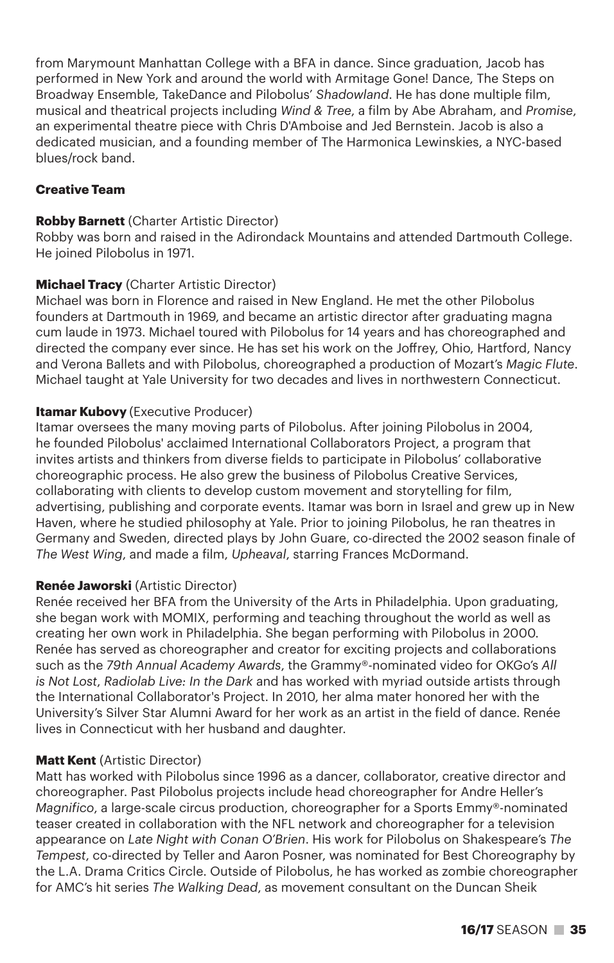from Marymount Manhattan College with a BFA in dance. Since graduation, Jacob has performed in New York and around the world with Armitage Gone! Dance, The Steps on Broadway Ensemble, TakeDance and Pilobolus' *Shadowland*. He has done multiple film, musical and theatrical projects including *Wind & Tree*, a film by Abe Abraham, and *Promise*, an experimental theatre piece with Chris D'Amboise and Jed Bernstein. Jacob is also a dedicated musician, and a founding member of The Harmonica Lewinskies, a NYC-based blues/rock band.

# **Creative Team**

## **Robby Barnett** (Charter Artistic Director)

Robby was born and raised in the Adirondack Mountains and attended Dartmouth College. He joined Pilobolus in 1971.

## **Michael Tracy** (Charter Artistic Director)

Michael was born in Florence and raised in New England. He met the other Pilobolus founders at Dartmouth in 1969, and became an artistic director after graduating magna cum laude in 1973. Michael toured with Pilobolus for 14 years and has choreographed and directed the company ever since. He has set his work on the Joffrey, Ohio, Hartford, Nancy and Verona Ballets and with Pilobolus, choreographed a production of Mozart's *Magic Flute*. Michael taught at Yale University for two decades and lives in northwestern Connecticut.

## **Itamar Kubovy** (Executive Producer)

Itamar oversees the many moving parts of Pilobolus. After joining Pilobolus in 2004, he founded Pilobolus' acclaimed International Collaborators Project, a program that invites artists and thinkers from diverse fields to participate in Pilobolus' collaborative choreographic process. He also grew the business of Pilobolus Creative Services, collaborating with clients to develop custom movement and storytelling for film, advertising, publishing and corporate events. Itamar was born in Israel and grew up in New Haven, where he studied philosophy at Yale. Prior to joining Pilobolus, he ran theatres in Germany and Sweden, directed plays by John Guare, co-directed the 2002 season finale of *The West Wing*, and made a film, *Upheaval*, starring Frances McDormand.

## **Renée Jaworski** (Artistic Director)

Renée received her BFA from the University of the Arts in Philadelphia. Upon graduating, she began work with MOMIX, performing and teaching throughout the world as well as creating her own work in Philadelphia. She began performing with Pilobolus in 2000. Renée has served as choreographer and creator for exciting projects and collaborations such as the *79th Annual Academy Awards*, the Grammy®-nominated video for OKGo's *All is Not Lost*, *Radiolab Live: In the Dark* and has worked with myriad outside artists through the International Collaborator's Project. In 2010, her alma mater honored her with the University's Silver Star Alumni Award for her work as an artist in the field of dance. Renée lives in Connecticut with her husband and daughter.

## **Matt Kent** (Artistic Director)

Matt has worked with Pilobolus since 1996 as a dancer, collaborator, creative director and choreographer. Past Pilobolus projects include head choreographer for Andre Heller's *Magnifico*, a large-scale circus production, choreographer for a Sports Emmy®-nominated teaser created in collaboration with the NFL network and choreographer for a television appearance on *Late Night with Conan O'Brien*. His work for Pilobolus on Shakespeare's *The Tempest*, co-directed by Teller and Aaron Posner, was nominated for Best Choreography by the L.A. Drama Critics Circle. Outside of Pilobolus, he has worked as zombie choreographer for AMC's hit series *The Walking Dead*, as movement consultant on the Duncan Sheik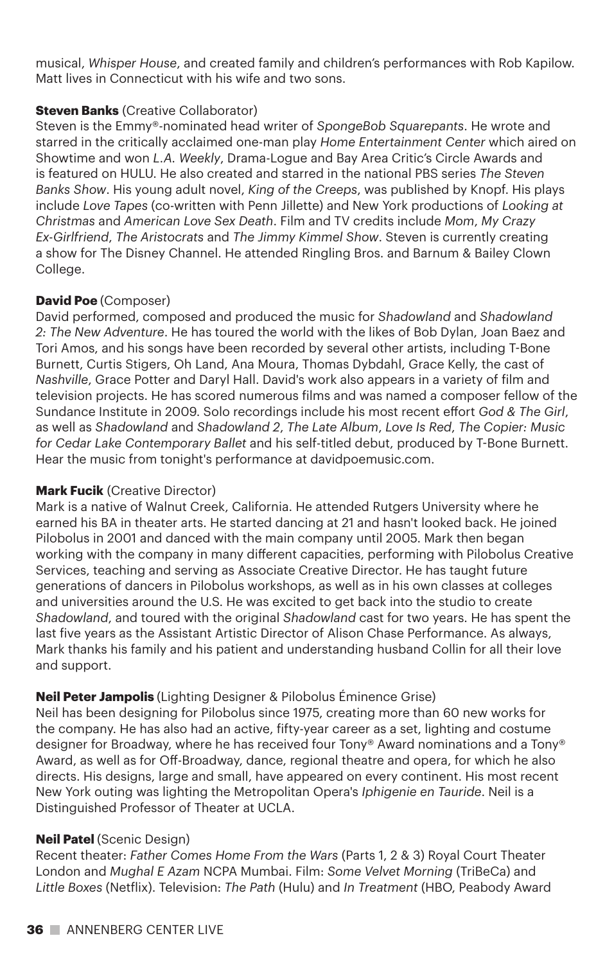musical, *Whisper House*, and created family and children's performances with Rob Kapilow. Matt lives in Connecticut with his wife and two sons.

# **Steven Banks** (Creative Collaborator)

Steven is the Emmy®-nominated head writer of *SpongeBob Squarepants*. He wrote and starred in the critically acclaimed one-man play *Home Entertainment Center* which aired on Showtime and won *L.A. Weekly*, Drama-Logue and Bay Area Critic's Circle Awards and is featured on HULU. He also created and starred in the national PBS series *The Steven Banks Show*. His young adult novel, *King of the Creeps*, was published by Knopf. His plays include *Love Tapes* (co-written with Penn Jillette) and New York productions of *Looking at Christmas* and *American Love Sex Death*. Film and TV credits include *Mom*, *My Crazy Ex-Girlfriend*, *The Aristocrats* and *The Jimmy Kimmel Show*. Steven is currently creating a show for The Disney Channel. He attended Ringling Bros. and Barnum & Bailey Clown College.

# **David Poe** (Composer)

David performed, composed and produced the music for *Shadowland* and *Shadowland 2: The New Adventure*. He has toured the world with the likes of Bob Dylan, Joan Baez and Tori Amos, and his songs have been recorded by several other artists, including T-Bone Burnett, Curtis Stigers, Oh Land, Ana Moura, Thomas Dybdahl, Grace Kelly, the cast of *Nashville*, Grace Potter and Daryl Hall. David's work also appears in a variety of film and television projects. He has scored numerous films and was named a composer fellow of the Sundance Institute in 2009. Solo recordings include his most recent effort *God & The Girl*, as well as *Shadowland* and *Shadowland 2*, *The Late Album*, *Love Is Red*, *The Copier: Music for Cedar Lake Contemporary Ballet* and his self-titled debut, produced by T-Bone Burnett. Hear the music from tonight's performance at davidpoemusic.com.

# **Mark Fucik** (Creative Director)

Mark is a native of Walnut Creek, California. He attended Rutgers University where he earned his BA in theater arts. He started dancing at 21 and hasn't looked back. He joined Pilobolus in 2001 and danced with the main company until 2005. Mark then began working with the company in many different capacities, performing with Pilobolus Creative Services, teaching and serving as Associate Creative Director. He has taught future generations of dancers in Pilobolus workshops, as well as in his own classes at colleges and universities around the U.S. He was excited to get back into the studio to create *Shadowland*, and toured with the original *Shadowland* cast for two years. He has spent the last five years as the Assistant Artistic Director of Alison Chase Performance. As always, Mark thanks his family and his patient and understanding husband Collin for all their love and support.

# **Neil Peter Jampolis** (Lighting Designer & Pilobolus Éminence Grise)

Neil has been designing for Pilobolus since 1975, creating more than 60 new works for the company. He has also had an active, fifty-year career as a set, lighting and costume designer for Broadway, where he has received four Tony® Award nominations and a Tony® Award, as well as for Off-Broadway, dance, regional theatre and opera, for which he also directs. His designs, large and small, have appeared on every continent. His most recent New York outing was lighting the Metropolitan Opera's *Iphigenie en Tauride*. Neil is a Distinguished Professor of Theater at UCLA.

# **Neil Patel** (Scenic Design)

Recent theater: *Father Comes Home From the Wars* (Parts 1, 2 & 3) Royal Court Theater London and *Mughal E Azam* NCPA Mumbai. Film: *Some Velvet Morning* (TriBeCa) and *Little Boxes* (Netflix). Television: *The Path* (Hulu) and *In Treatment* (HBO, Peabody Award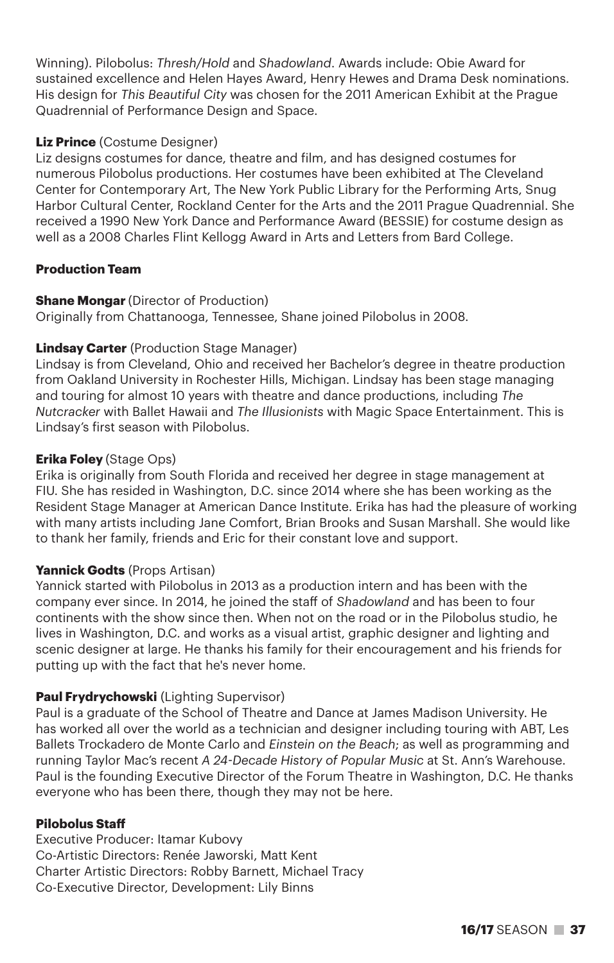Winning). Pilobolus: *Thresh/Hold* and *Shadowland*. Awards include: Obie Award for sustained excellence and Helen Hayes Award, Henry Hewes and Drama Desk nominations. His design for *This Beautiful City* was chosen for the 2011 American Exhibit at the Prague Quadrennial of Performance Design and Space.

## **Liz Prince** (Costume Designer)

Liz designs costumes for dance, theatre and film, and has designed costumes for numerous Pilobolus productions. Her costumes have been exhibited at The Cleveland Center for Contemporary Art, The New York Public Library for the Performing Arts, Snug Harbor Cultural Center, Rockland Center for the Arts and the 2011 Prague Quadrennial. She received a 1990 New York Dance and Performance Award (BESSIE) for costume design as well as a 2008 Charles Flint Kellogg Award in Arts and Letters from Bard College.

#### **Production Team**

#### **Shane Mongar** (Director of Production)

Originally from Chattanooga, Tennessee, Shane joined Pilobolus in 2008.

#### **Lindsay Carter** (Production Stage Manager)

Lindsay is from Cleveland, Ohio and received her Bachelor's degree in theatre production from Oakland University in Rochester Hills, Michigan. Lindsay has been stage managing and touring for almost 10 years with theatre and dance productions, including *The Nutcracker* with Ballet Hawaii and *The Illusionists* with Magic Space Entertainment. This is Lindsay's first season with Pilobolus.

#### **Erika Foley** (Stage Ops)

Erika is originally from South Florida and received her degree in stage management at FIU. She has resided in Washington, D.C. since 2014 where she has been working as the Resident Stage Manager at American Dance Institute. Erika has had the pleasure of working with many artists including Jane Comfort, Brian Brooks and Susan Marshall. She would like to thank her family, friends and Eric for their constant love and support.

#### **Yannick Godts** (Props Artisan)

Yannick started with Pilobolus in 2013 as a production intern and has been with the company ever since. In 2014, he joined the staff of *Shadowland* and has been to four continents with the show since then. When not on the road or in the Pilobolus studio, he lives in Washington, D.C. and works as a visual artist, graphic designer and lighting and scenic designer at large. He thanks his family for their encouragement and his friends for putting up with the fact that he's never home.

## **Paul Frydrychowski** (Lighting Supervisor)

Paul is a graduate of the School of Theatre and Dance at James Madison University. He has worked all over the world as a technician and designer including touring with ABT, Les Ballets Trockadero de Monte Carlo and *Einstein on the Beach*; as well as programming and running Taylor Mac's recent *A 24-Decade History of Popular Music* at St. Ann's Warehouse. Paul is the founding Executive Director of the Forum Theatre in Washington, D.C. He thanks everyone who has been there, though they may not be here.

#### **Pilobolus Staff**

Executive Producer: Itamar Kubovy Co-Artistic Directors: Renée Jaworski, Matt Kent Charter Artistic Directors: Robby Barnett, Michael Tracy Co-Executive Director, Development: Lily Binns